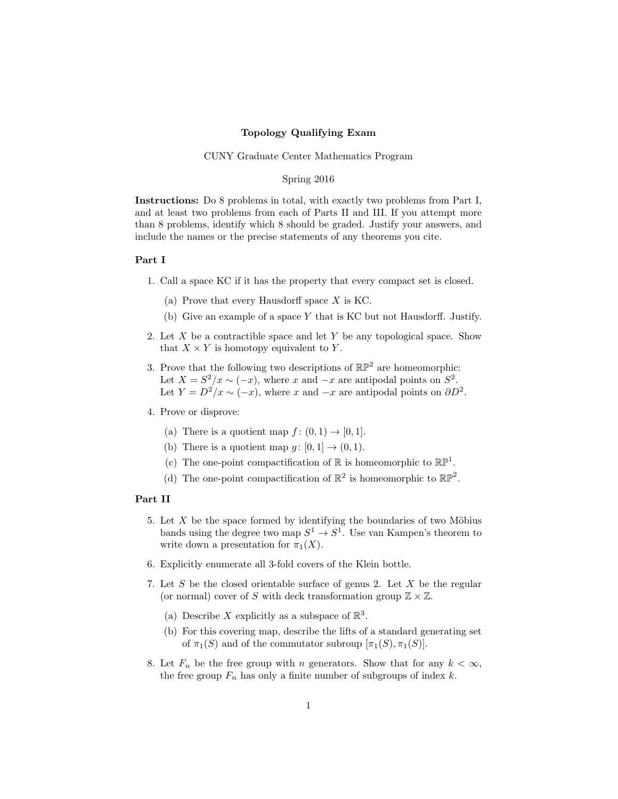## Topology Qualifying Exam

## CUNY Graduate Center Mathematics Program

## Spring 2016

Instructions: Do 8 problems in total, with exactly two problems from Part I, and at least two problems from each of Parts II and III. If you attempt more than 8 problems, identify which 8 should be graded. Justify your answers, and include the names or the precise statements of any theorems you cite.

## Part I

- 1. Call a space KC if it has the property that every compact set is closed.
	- (a) Prove that every Hausdorff space X is KC.
	- (b) Give an example of a space Y that is KC but not Hausdorff. Justify.
- 2. Let  $X$  be a contractible space and let  $Y$  be any topological space. Show that  $X \times Y$  is homotopy equivalent to Y.
- 3. Prove that the following two descriptions of  $\mathbb{RP}^2$  are homeomorphic: Let  $X = S^2/x \sim (-x)$ , where x and  $-x$  are antipodal points on  $S^2$ . Let  $Y = D^2/x \sim (-x)$ , where x and  $-x$  are antipodal points on  $\partial D^2$ .
- 4. Prove or disprove:
	- (a) There is a quotient map  $f : (0,1) \rightarrow [0,1]$ .
	- (b) There is a quotient map  $q: [0, 1] \rightarrow (0, 1)$ .
	- (c) The one-point compactification of  $\mathbb R$  is homeomorphic to  $\mathbb{RP}^1$ .
	- (d) The one-point compactification of  $\mathbb{R}^2$  is homeomorphic to  $\mathbb{RP}^2$ .

# Part II

- 5. Let  $X$  be the space formed by identifying the boundaries of two Möbius bands using the degree two map  $S^1 \to S^1$ . Use van Kampen's theorem to write down a presentation for  $\pi_1(X)$ .
- 6. Explicitly enumerate all 3-fold covers of the Klein bottle.
- 7. Let S be the closed orientable surface of genus 2. Let X be the regular (or normal) cover of S with deck transformation group  $\mathbb{Z} \times \mathbb{Z}$ .
	- (a) Describe X explicitly as a subspace of  $\mathbb{R}^3$ .
	- (b) For this covering map, describe the lifts of a standard generating set of  $\pi_1(S)$  and of the commutator subroup  $[\pi_1(S), \pi_1(S)]$ .
- 8. Let  $F_n$  be the free group with n generators. Show that for any  $k < \infty$ , the free group  $F_n$  has only a finite number of subgroups of index k.